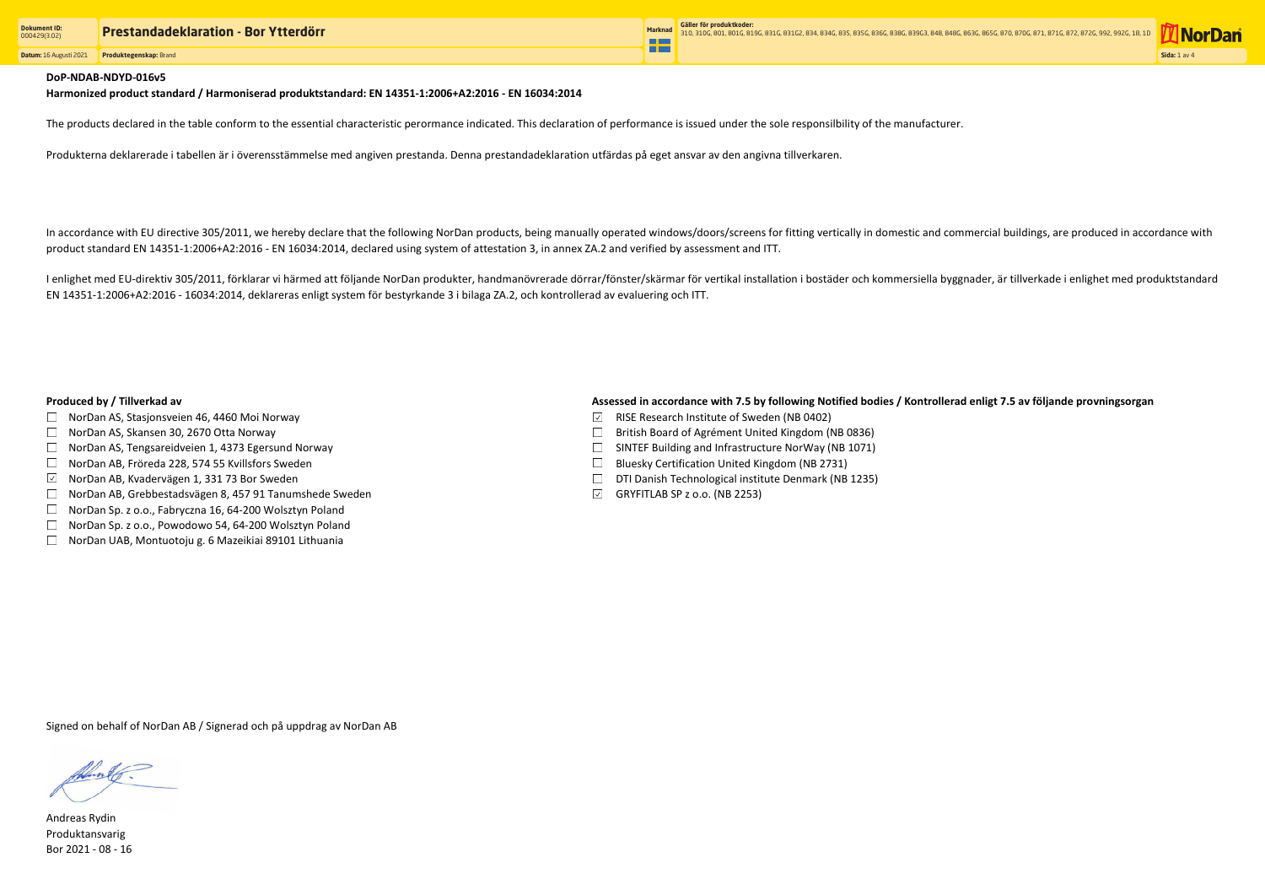**Datum:** 16 Augusti 2021 **Produktegenskap:** Brand



#### DoP-NDAB-NDYD-016v5

The products declared in the table conform to the essential characteristic perormance indicated. This declaration of performance is issued under the sole responsilbility of the manufacturer.

Produkterna deklarerade i tabellen är i överensstämmelse med angiven prestanda. Denna prestandadeklaration utfärdas på eget ansvar av den angivna tillverkaren.

In accordance with EU directive 305/2011, we hereby declare that the following NorDan products, being manually operated windows/doors/screens for fitting vertically in domestic and commercial buildings, are produced in acc product standard EN 14351-1:2006+A2:2016 - EN 16034:2014, declared using system of attestation 3, in annex ZA.2 and verified by assessment and ITT.

I enlighet med EU-direktiv 305/2011, förklarar vi härmed att följande NorDan produkter, handmanövrerade dörrar/fönster/skärmar för vertikal installation i bostäder och kommersiella byggnader, är tillverkade i enlighet med EN 14351-1:2006+A2:2016 - 16034:2014, deklareras enligt system för bestyrkande 3 i bilaga ZA.2, och kontrollerad av evaluering och ITT.

- $\Box$  NorDan AS, Stasjonsveien 46, 4460 Moi Norway
- $\Box$  NorDan AS, Skansen 30, 2670 Otta Norway
- $\Box$  NorDan AS, Tengsareidveien 1, 4373 Egersund Norway
- □ NorDan AB, Fröreda 228, 574 55 Kvillsfors Sweden
- $\boxdot$  NorDan AB, Kvadervägen 1, 331 73 Bor Sweden
- NorDan AB, Grebbestadsvägen 8, 457 91 Tanumshede Sweden
- $\Box$  NorDan Sp. z o.o., Fabryczna 16, 64-200 Wolsztyn Poland
- □ NorDan Sp. z o.o., Powodowo 54, 64-200 Wolsztyn Poland
- $\Box$  NorDan UAB, Montuotoju g. 6 Mazeikiai 89101 Lithuania

### Produced by / Tillverkad av **Assessed in accordance with 7.5 by following Notified bodies / Kontrollerad enligt 7.5 av följande provningsorgan**

- $\boxdot$  RISE Research Institute of Sweden (NB 0402)
- $\Box$  British Board of Agrément United Kingdom (NB 0836)
- $\Box$  SINTEF Building and Infrastructure NorWay (NB 1071)
- $\Box$  Bluesky Certification United Kingdom (NB 2731)
- $\square$  DTI Danish Technological institute Denmark (NB 1235)
- $\boxdot$  GRYFITLAB SP z o.o. (NB 2253)

Andreas Rydin Produktansvarig Bor 2021 - 08 - 16

Harmonized product standard / Harmoniserad produktstandard: EN 14351-1:2006+A2:2016 - EN 16034:2014

Signed on behalf of NorDan AB / Signerad och på uppdrag av NorDan AB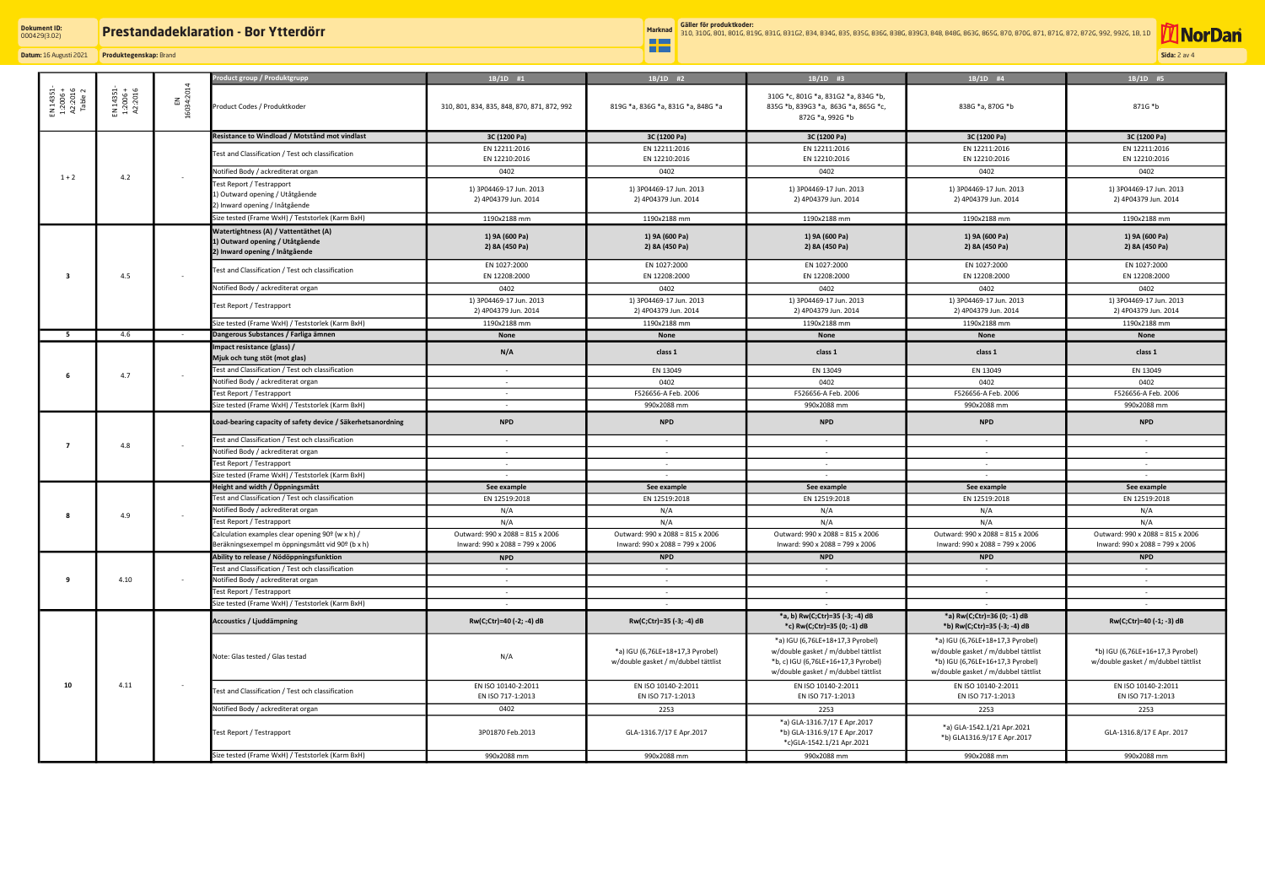# **Prestandadeklaration - Bor Ytterdörr**

æ

**Datum:** 16 Augusti 2021 **Produktegenskap:** Brand

## **Dokument ID:** 000429(3.02)

**Sida:** 2 av 4

**Marknad Gäller för produktkoder:** 310, 310G, 801, 801G, 819G, 831G, 831G2, 834, 834G, 835, 835G, 836G, 838G, 839G3, 848, 848G, 863G, 865G, 870, 870G, 871, 871G, 872, 872G, 992, 992G, 1B, 1D

| EN 1435<br>1:2006<br>A2:201<br>Table | EN 14351-<br>1:2006 +<br>A2:2016 | EN<br>16034:2014 | 'roduct group / Produktgrupp                                | $1B/1D$ #1                                  | $1B/1D$ #2                                                              | $1B/1D$ #3                                                                                                                                            | $1B/1D$ #4                                                                                                                                         | 1B/1D #5                                                                |
|--------------------------------------|----------------------------------|------------------|-------------------------------------------------------------|---------------------------------------------|-------------------------------------------------------------------------|-------------------------------------------------------------------------------------------------------------------------------------------------------|----------------------------------------------------------------------------------------------------------------------------------------------------|-------------------------------------------------------------------------|
|                                      |                                  |                  | Product Codes / Produktkoder                                | 310, 801, 834, 835, 848, 870, 871, 872, 992 | 819G *a, 836G *a, 831G *a, 848G *a                                      | 310G *c, 801G *a, 831G2 *a, 834G *b,<br>835G *b, 839G3 *a, 863G *a, 865G *c,<br>872G *a, 992G *b                                                      | 838G *a, 870G *b                                                                                                                                   | 871G *b                                                                 |
|                                      |                                  |                  | Resistance to Windload / Motstånd mot vindlast              | 3C (1200 Pa)                                | 3C (1200 Pa)                                                            | 3C (1200 Pa)                                                                                                                                          | 3C (1200 Pa)                                                                                                                                       | 3C (1200 Pa)                                                            |
|                                      |                                  |                  |                                                             | EN 12211:2016                               | EN 12211:2016                                                           | EN 12211:2016                                                                                                                                         | EN 12211:2016                                                                                                                                      | EN 12211:2016                                                           |
|                                      |                                  |                  | Test and Classification / Test och classification           | EN 12210:2016                               | EN 12210:2016                                                           | EN 12210:2016                                                                                                                                         | EN 12210:2016                                                                                                                                      | EN 12210:2016                                                           |
|                                      |                                  |                  | Notified Body / ackrediterat organ                          | 0402                                        | 0402                                                                    | 0402                                                                                                                                                  | 0402                                                                                                                                               | 0402                                                                    |
| $1 + 2$                              | 4.2                              | $\sim$           | Test Report / Testrapport                                   |                                             |                                                                         |                                                                                                                                                       |                                                                                                                                                    |                                                                         |
|                                      |                                  |                  | 1) Outward opening / Utåtgående                             | 1) 3P04469-17 Jun. 2013                     | 1) 3P04469-17 Jun. 2013                                                 | 1) 3P04469-17 Jun. 2013                                                                                                                               | 1) 3P04469-17 Jun. 2013                                                                                                                            | 1) 3P04469-17 Jun. 2013                                                 |
|                                      |                                  |                  | 2) Inward opening / Inåtgående                              | 2) 4P04379 Jun. 2014                        | 2) 4P04379 Jun. 2014                                                    | 2) 4P04379 Jun. 2014                                                                                                                                  | 2) 4P04379 Jun. 2014                                                                                                                               | 2) 4P04379 Jun. 2014                                                    |
|                                      |                                  |                  | Size tested (Frame WxH) / Teststorlek (Karm BxH)            | 1190x2188 mm                                | 1190x2188 mm                                                            | 1190x2188 mm                                                                                                                                          | 1190x2188 mm                                                                                                                                       | 1190x2188 mm                                                            |
|                                      |                                  |                  | Watertightness (A) / Vattentäthet (A)                       |                                             |                                                                         |                                                                                                                                                       |                                                                                                                                                    |                                                                         |
|                                      | 4.5                              | $\sim$           | 1) Outward opening / Utåtgående                             | 1) 9A (600 Pa)                              | 1) 9A (600 Pa)                                                          | 1) 9A (600 Pa)                                                                                                                                        | 1) 9A (600 Pa)                                                                                                                                     | 1) 9A (600 Pa)                                                          |
|                                      |                                  |                  | 2) Inward opening / Inåtgående                              | 2) 8A (450 Pa)                              | 2) 8A (450 Pa)                                                          | 2) 8A (450 Pa)                                                                                                                                        | 2) 8A (450 Pa)                                                                                                                                     | 2) 8A (450 Pa)                                                          |
|                                      |                                  |                  |                                                             | EN 1027:2000                                | EN 1027:2000                                                            | EN 1027:2000                                                                                                                                          | EN 1027:2000                                                                                                                                       | EN 1027:2000                                                            |
| 3                                    |                                  |                  | Test and Classification / Test och classification           | EN 12208:2000                               | EN 12208:2000                                                           | EN 12208:2000                                                                                                                                         | EN 12208:2000                                                                                                                                      | EN 12208:2000                                                           |
|                                      |                                  |                  | Notified Body / ackrediterat organ                          | 0402                                        | 0402                                                                    | 0402                                                                                                                                                  | 0402                                                                                                                                               | 0402                                                                    |
|                                      |                                  |                  |                                                             | 1) 3P04469-17 Jun. 2013                     | 1) 3P04469-17 Jun. 2013                                                 | 1) 3P04469-17 Jun. 2013                                                                                                                               | 1) 3P04469-17 Jun. 2013                                                                                                                            | 1) 3P04469-17 Jun. 2013                                                 |
|                                      |                                  |                  | Test Report / Testrapport                                   | 2) 4P04379 Jun. 2014                        | 2) 4P04379 Jun. 2014                                                    | 2) 4P04379 Jun. 2014                                                                                                                                  | 2) 4P04379 Jun. 2014                                                                                                                               | 2) 4P04379 Jun. 2014                                                    |
|                                      |                                  |                  | Size tested (Frame WxH) / Teststorlek (Karm BxH)            | 1190x2188 mm                                | 1190x2188 mm                                                            | 1190x2188 mm                                                                                                                                          | 1190x2188 mm                                                                                                                                       | 1190x2188 mm                                                            |
| -5                                   | 4.6                              | $\sim 100$       | Dangerous Substances / Farliga ämnen                        | None                                        | None                                                                    | None                                                                                                                                                  | None                                                                                                                                               | None                                                                    |
|                                      |                                  |                  | Impact resistance (glass) /                                 |                                             |                                                                         |                                                                                                                                                       |                                                                                                                                                    |                                                                         |
|                                      |                                  |                  | Mjuk och tung stöt (mot glas)                               | N/A                                         | class 1                                                                 | class 1                                                                                                                                               | class 1                                                                                                                                            | class 1                                                                 |
|                                      |                                  |                  | Test and Classification / Test och classification           | $\sim$                                      | EN 13049                                                                | EN 13049                                                                                                                                              | EN 13049                                                                                                                                           | EN 13049                                                                |
|                                      | 4.7                              |                  | Notified Body / ackrediterat organ                          |                                             | 0402                                                                    | 0402                                                                                                                                                  | 0402                                                                                                                                               | 0402                                                                    |
|                                      |                                  |                  | Test Report / Testrapport                                   | $\sim$                                      | F526656-A Feb. 2006                                                     | F526656-A Feb. 2006                                                                                                                                   | F526656-A Feb. 2006                                                                                                                                | F526656-A Feb. 2006                                                     |
|                                      |                                  |                  | Size tested (Frame WxH) / Teststorlek (Karm BxH)            | $\sim$                                      | 990x2088 mm                                                             | 990x2088 mm                                                                                                                                           | 990x2088 mm                                                                                                                                        | 990x2088 mm                                                             |
|                                      | 4.8                              | $\sim$           | Load-bearing capacity of safety device / Säkerhetsanordning | <b>NPD</b>                                  | <b>NPD</b>                                                              | <b>NPD</b>                                                                                                                                            | <b>NPD</b>                                                                                                                                         | <b>NPD</b>                                                              |
|                                      |                                  |                  | Test and Classification / Test och classification           | $\sim$                                      | $\sim$                                                                  | $\sim$                                                                                                                                                | $\sim$ $-$                                                                                                                                         | $\sim$                                                                  |
|                                      |                                  |                  | Notified Body / ackrediterat organ                          | $\sim$                                      | $\sim$                                                                  | $\sim$                                                                                                                                                | $\sim$                                                                                                                                             | $\sim$                                                                  |
|                                      |                                  |                  | Test Report / Testrapport                                   | $\sim$                                      | $\sim$                                                                  | $\sim$                                                                                                                                                | $\sim$                                                                                                                                             | $\sim$                                                                  |
|                                      |                                  |                  | Size tested (Frame WxH) / Teststorlek (Karm BxH)            | $\sim$                                      | $\sim$                                                                  | $\sim$                                                                                                                                                | $\sim$                                                                                                                                             | $\sim$                                                                  |
|                                      | 4.9                              |                  | Height and width / Öppningsmått                             | See example                                 | See example                                                             | See example                                                                                                                                           | See example                                                                                                                                        | See example                                                             |
|                                      |                                  |                  | Test and Classification / Test och classification           | EN 12519:2018                               | EN 12519:2018                                                           | EN 12519:2018                                                                                                                                         | EN 12519:2018                                                                                                                                      | EN 12519:2018                                                           |
|                                      |                                  |                  | Notified Body / ackrediterat organ                          | N/A                                         | N/A                                                                     | N/A                                                                                                                                                   | N/A                                                                                                                                                | N/A                                                                     |
|                                      |                                  |                  | Fest Report / Testrapport                                   | N/A                                         | N/A                                                                     | N/A                                                                                                                                                   | N/A                                                                                                                                                | N/A                                                                     |
|                                      |                                  |                  | Calculation examples clear opening 90° (w x h) /            | Outward: 990 x 2088 = 815 x 2006            | Outward: 990 x 2088 = 815 x 2006                                        | Outward: 990 x 2088 = 815 x 2006                                                                                                                      | Outward: 990 x 2088 = 815 x 2006                                                                                                                   | Outward: 990 x 2088 = 815 x 2006                                        |
|                                      |                                  |                  | Beräkningsexempel m öppningsmått vid 90º (b x h)            | Inward: 990 x 2088 = 799 x 2006             | Inward: 990 x 2088 = 799 x 2006                                         | Inward: 990 x 2088 = 799 x 2006                                                                                                                       | Inward: 990 x 2088 = 799 x 2006                                                                                                                    | Inward: 990 x 2088 = 799 x 2006                                         |
|                                      | 4.10                             |                  | Ability to release / Nödöppningsfunktion                    | <b>NPD</b>                                  | <b>NPD</b>                                                              | <b>NPD</b>                                                                                                                                            | <b>NPD</b>                                                                                                                                         | <b>NPD</b>                                                              |
|                                      |                                  |                  | Test and Classification / Test och classification           | $\sim$                                      | $\sim$                                                                  | $\sim$                                                                                                                                                | $\sim$                                                                                                                                             | $\sim$                                                                  |
| 9                                    |                                  |                  | Notified Body / ackrediterat organ                          | $\sim$                                      | $\sim$ $ \sim$                                                          | $\sim$                                                                                                                                                | $\sim$                                                                                                                                             | $\sim$                                                                  |
|                                      |                                  |                  | Test Report / Testrapport                                   |                                             | $\sim$                                                                  | $\sim$                                                                                                                                                | $\sim$                                                                                                                                             | $\sim$                                                                  |
|                                      |                                  |                  | Size tested (Frame WxH) / Teststorlek (Karm BxH)            | $\sim$                                      | $\sim$                                                                  | $\sim$                                                                                                                                                | $\sim$                                                                                                                                             | $\sim$                                                                  |
|                                      | 4.11                             | $\sim$           | Accoustics / Ljuddämpning                                   | Rw(C;Ctr)=40 (-2; -4) dB                    | Rw(C;Ctr)=35 (-3; -4) dB                                                | *a, b) Rw(C;Ctr)=35 (-3; -4) dB<br>*c) Rw(C;Ctr)=35 (0; -1) dB                                                                                        | *a) Rw(C;Ctr)=36 (0; -1) dB<br>*b) Rw(C;Ctr)=35 (-3; -4) dB                                                                                        | Rw(C;Ctr)=40 (-1; -3) dB                                                |
|                                      |                                  |                  | Note: Glas tested / Glas testad                             | N/A                                         | *a) IGU (6,76LE+18+17,3 Pyrobel)<br>w/double gasket / m/dubbel tättlist | *a) IGU (6,76LE+18+17,3 Pyrobel)<br>w/double gasket / m/dubbel tättlist<br>*b, c) IGU (6,76LE+16+17,3 Pyrobel)<br>w/double gasket / m/dubbel tättlist | *a) IGU (6,76LE+18+17,3 Pyrobel)<br>w/double gasket / m/dubbel tättlist<br>*b) IGU (6,76LE+16+17,3 Pyrobel)<br>w/double gasket / m/dubbel tättlist | *b) IGU (6,76LE+16+17,3 Pyrobel)<br>w/double gasket / m/dubbel tättlist |
| 10                                   |                                  |                  | Test and Classification / Test och classification           | EN ISO 10140-2:2011<br>EN ISO 717-1:2013    | EN ISO 10140-2:2011<br>EN ISO 717-1:2013                                | EN ISO 10140-2:2011<br>EN ISO 717-1:2013                                                                                                              | EN ISO 10140-2:2011<br>EN ISO 717-1:2013                                                                                                           | EN ISO 10140-2:2011<br>EN ISO 717-1:2013                                |
|                                      |                                  |                  | Notified Body / ackrediterat organ                          | 0402                                        | 2253                                                                    | 2253                                                                                                                                                  | 2253                                                                                                                                               | 2253                                                                    |
|                                      |                                  |                  | Test Report / Testrapport                                   | 3P01870 Feb.2013                            | GLA-1316.7/17 E Apr.2017                                                | *a) GLA-1316.7/17 E Apr.2017<br>*b) GLA-1316.9/17 E Apr.2017<br>*c)GLA-1542.1/21 Apr.2021                                                             | *a) GLA-1542.1/21 Apr.2021<br>*b) GLA1316.9/17 E Apr.2017                                                                                          | GLA-1316.8/17 E Apr. 2017                                               |
|                                      |                                  |                  | Size tested (Frame WxH) / Teststorlek (Karm BxH)            | 990x2088 mm                                 | 990x2088 mm                                                             | 990x2088 mm                                                                                                                                           | 990x2088 mm                                                                                                                                        | 990x2088 mm                                                             |

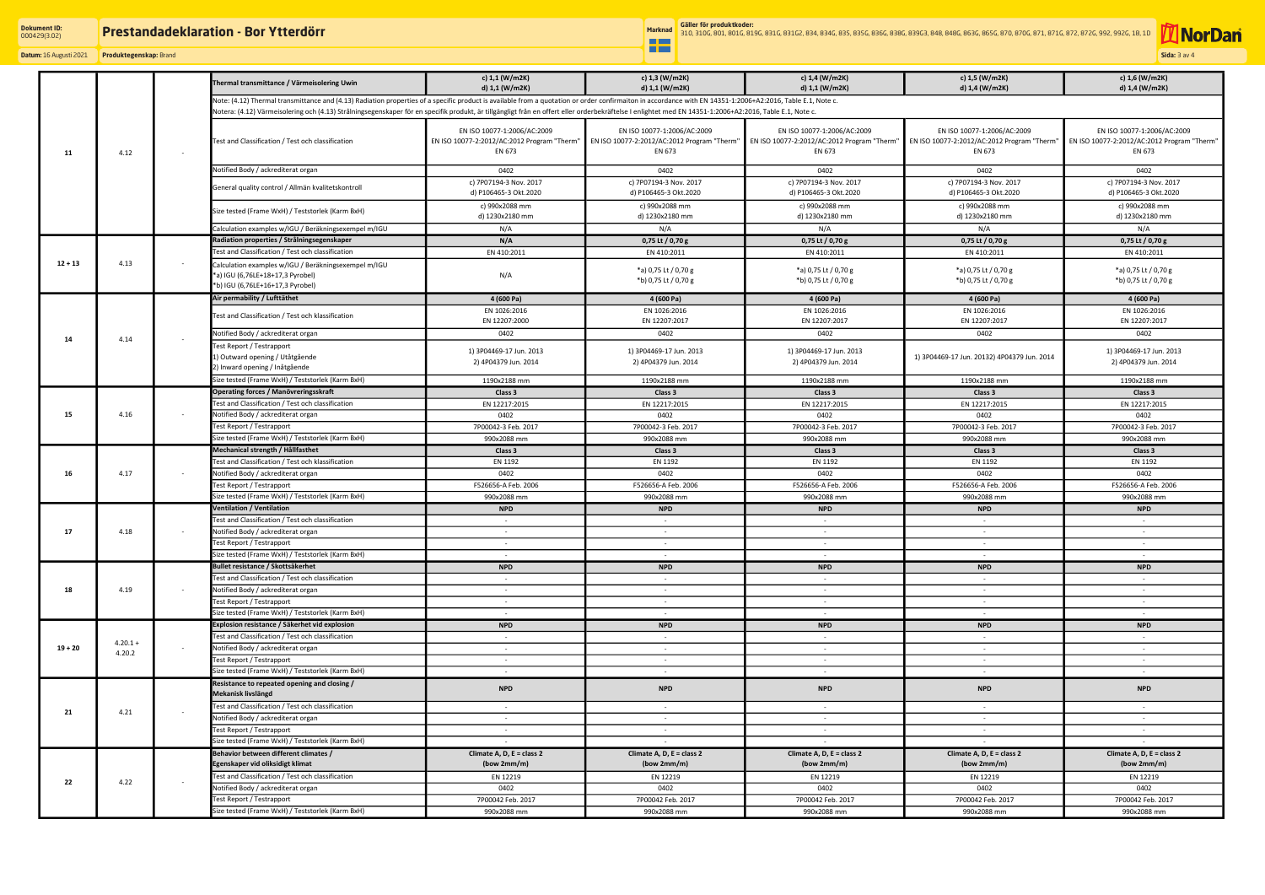æ

**Datum:** 16 Augusti 2021 **Produktegenskap:** Brand

**Sida:** 3 av 4

**T**NorDan

**Marknad Gäller för produktkoder:** 310, 310G, 801, 801G, 819G, 831G, 831G2, 834, 834G, 835, 835G, 836G, 838G, 839G3, 848, 848G, 863G, 865G, 870, 870G, 871, 871G, 872, 872G, 992, 992G, 1B, 1D

|           |                      |        | Thermal transmittance / Värmeisolering Uwin                                                                                                                                                                 | c) 1,1 (W/m2K)                                  | c) 1,3 (W/m2K)                                  | c) 1,4 (W/m2K)                                  | c) 1,5 (W/m2K)                                  | c) 1,6 (W/m2K)                                  |  |  |
|-----------|----------------------|--------|-------------------------------------------------------------------------------------------------------------------------------------------------------------------------------------------------------------|-------------------------------------------------|-------------------------------------------------|-------------------------------------------------|-------------------------------------------------|-------------------------------------------------|--|--|
|           |                      |        |                                                                                                                                                                                                             | d) 1,1 (W/m2K)                                  | d) 1,1 (W/m2K)                                  | d) 1,1 (W/m2K)                                  | d) 1,4 (W/m2K)                                  | d) 1,4 (W/m2K)                                  |  |  |
|           |                      |        | Note: (4.12) Thermal transmittance and (4.13) Radiation properties of a specific product is available from a quotation or order confirmaiton in accordance with EN 14351-1:2006+A2:2016, Table E.1, Note c. |                                                 |                                                 |                                                 |                                                 |                                                 |  |  |
| 11        |                      |        | Notera: (4.12) Värmeisolering och (4.13) Strålningsegenskaper för en specifik produkt, är tillgängligt från en offert eller orderbekräftelse I enlightet med EN 14351-1:2006+A2:2016, Table E.1, Note c.    |                                                 |                                                 |                                                 |                                                 |                                                 |  |  |
|           |                      |        |                                                                                                                                                                                                             | EN ISO 10077-1:2006/AC:2009                     | EN ISO 10077-1:2006/AC:2009                     | EN ISO 10077-1:2006/AC:2009                     | EN ISO 10077-1:2006/AC:2009                     | EN ISO 10077-1:2006/AC:2009                     |  |  |
|           |                      |        | Test and Classification / Test och classification                                                                                                                                                           | EN ISO 10077-2:2012/AC:2012 Program "Therm"     | EN ISO 10077-2:2012/AC:2012 Program "Therm"     | EN ISO 10077-2:2012/AC:2012 Program "Therm"     | EN ISO 10077-2:2012/AC:2012 Program "Therm"     | EN ISO 10077-2:2012/AC:2012 Program "Therm"     |  |  |
|           | 4.12                 | $\sim$ |                                                                                                                                                                                                             | EN 673                                          | EN 673                                          | EN 673                                          | EN 673                                          | EN 673                                          |  |  |
|           |                      |        |                                                                                                                                                                                                             |                                                 |                                                 |                                                 |                                                 |                                                 |  |  |
|           |                      |        | Notified Body / ackrediterat organ                                                                                                                                                                          | 0402                                            | 0402                                            | 0402                                            | 0402                                            | 0402                                            |  |  |
|           |                      |        | General quality control / Allmän kvalitetskontroll                                                                                                                                                          | c) 7P07194-3 Nov. 2017<br>d) P106465-3 Okt.2020 | c) 7P07194-3 Nov. 2017<br>d) P106465-3 Okt.2020 | c) 7P07194-3 Nov. 2017<br>d) P106465-3 Okt.2020 | c) 7P07194-3 Nov. 2017<br>d) P106465-3 Okt.2020 | c) 7P07194-3 Nov. 2017<br>d) P106465-3 Okt.2020 |  |  |
|           |                      |        |                                                                                                                                                                                                             |                                                 |                                                 | c) 990x2088 mm                                  | c) 990x2088 mm                                  | c) 990x2088 mm                                  |  |  |
|           |                      |        | Size tested (Frame WxH) / Teststorlek (Karm BxH)                                                                                                                                                            | c) 990x2088 mm<br>d) 1230x2180 mm               | c) 990x2088 mm<br>d) 1230x2180 mm               | d) 1230x2180 mm                                 | d) 1230x2180 mm                                 | d) 1230x2180 mm                                 |  |  |
|           |                      |        | Calculation examples w/IGU / Beräkningsexempel m/IGU                                                                                                                                                        | N/A                                             | N/A                                             | N/A                                             | N/A                                             | N/A                                             |  |  |
|           |                      |        | Radiation properties / Strålningsegenskaper                                                                                                                                                                 | N/A                                             | 0,75 Lt / 0,70 g                                | 0,75 Lt / 0,70 g                                | 0,75 Lt / 0,70 g                                | 0,75 Lt / 0,70 g                                |  |  |
| $12 + 13$ | 4.13                 | $\sim$ | Test and Classification / Test och classification                                                                                                                                                           | EN 410:2011                                     | EN 410:2011                                     | EN 410:2011                                     | EN 410:2011                                     | EN 410:2011                                     |  |  |
|           |                      |        | Calculation examples w/IGU / Beräkningsexempel m/IGU                                                                                                                                                        |                                                 |                                                 |                                                 |                                                 |                                                 |  |  |
|           |                      |        | *a) IGU (6,76LE+18+17,3 Pyrobel)                                                                                                                                                                            | N/A                                             | *a) 0,75 Lt / 0,70 g                            | *a) 0,75 Lt / 0,70 g                            | *a) 0,75 Lt / 0,70 g                            | *a) 0,75 Lt / 0,70 g                            |  |  |
|           |                      |        | *b) IGU (6,76LE+16+17,3 Pyrobel)                                                                                                                                                                            |                                                 | *b) 0,75 Lt / 0,70 g                            | *b) 0,75 Lt / 0,70 g                            | *b) 0,75 Lt / 0,70 g                            | *b) 0,75 Lt / 0,70 g                            |  |  |
|           |                      |        | Air permability / Lufttäthet                                                                                                                                                                                | 4 (600 Pa)                                      | 4 (600 Pa)                                      | 4 (600 Pa)                                      | 4 (600 Pa)                                      | 4 (600 Pa)                                      |  |  |
|           |                      |        |                                                                                                                                                                                                             | EN 1026:2016                                    | EN 1026:2016                                    | EN 1026:2016                                    | EN 1026:2016                                    | EN 1026:2016                                    |  |  |
|           |                      |        | Test and Classification / Test och klassification                                                                                                                                                           | EN 12207:2000                                   | EN 12207:2017                                   | EN 12207:2017                                   | EN 12207:2017                                   | EN 12207:2017                                   |  |  |
| 14        | 4.14                 | $\sim$ | Notified Body / ackrediterat organ                                                                                                                                                                          | 0402                                            | 0402                                            | 0402                                            | 0402                                            | 0402                                            |  |  |
|           |                      |        | Test Report / Testrapport                                                                                                                                                                                   | 1) 3P04469-17 Jun. 2013                         | 1) 3P04469-17 Jun. 2013                         | 1) 3P04469-17 Jun. 2013                         |                                                 | 1) 3P04469-17 Jun. 2013                         |  |  |
|           |                      |        | 1) Outward opening / Utåtgående                                                                                                                                                                             | 2) 4P04379 Jun. 2014                            | 2) 4P04379 Jun. 2014                            | 2) 4P04379 Jun. 2014                            | 1) 3P04469-17 Jun. 20132) 4P04379 Jun. 2014     | 2) 4P04379 Jun. 2014                            |  |  |
|           |                      |        | 2) Inward opening / Inåtgående                                                                                                                                                                              |                                                 |                                                 |                                                 |                                                 |                                                 |  |  |
|           |                      |        | Size tested (Frame WxH) / Teststorlek (Karm BxH)                                                                                                                                                            | 1190x2188 mm                                    | 1190x2188 mm                                    | 1190x2188 mm                                    | 1190x2188 mm                                    | 1190x2188 mm                                    |  |  |
|           |                      |        | Operating forces / Manövreringsskraft                                                                                                                                                                       | Class 3                                         | Class 3                                         | Class 3                                         | Class 3                                         | Class 3                                         |  |  |
|           |                      |        | <b>Test and Classification / Test och classification</b>                                                                                                                                                    | EN 12217:2015                                   | EN 12217:2015                                   | EN 12217:2015                                   | EN 12217:2015                                   | EN 12217:2015                                   |  |  |
| 15        | 4.16                 |        | Notified Body / ackrediterat organ                                                                                                                                                                          | 0402                                            | 0402                                            | 0402                                            | 0402                                            | 0402                                            |  |  |
|           |                      |        | Fest Report / Testrapport                                                                                                                                                                                   | 7P00042-3 Feb. 2017                             | 7P00042-3 Feb. 2017                             | 7P00042-3 Feb. 2017                             | 7P00042-3 Feb. 2017                             | 7P00042-3 Feb. 2017                             |  |  |
|           |                      |        | Size tested (Frame WxH) / Teststorlek (Karm BxH)                                                                                                                                                            | 990x2088 mm                                     | 990x2088 mm                                     | 990x2088 mm                                     | 990x2088 mm                                     | 990x2088 mm                                     |  |  |
|           |                      |        | Mechanical strength / Hållfasthet<br>Test and Classification / Test och klassification                                                                                                                      | Class 3                                         | Class 3                                         | Class 3                                         | Class 3                                         | Class 3                                         |  |  |
| 16        | 4.17                 |        | Notified Body / ackrediterat organ                                                                                                                                                                          | EN 1192<br>0402                                 | EN 1192<br>0402                                 | EN 1192<br>0402                                 | EN 1192<br>0402                                 | EN 1192<br>0402                                 |  |  |
|           |                      |        | Fest Report / Testrapport                                                                                                                                                                                   | F526656-A Feb. 2006                             | F526656-A Feb. 2006                             | F526656-A Feb. 2006                             | F526656-A Feb. 2006                             | F526656-A Feb. 2006                             |  |  |
|           |                      |        | Size tested (Frame WxH) / Teststorlek (Karm BxH)                                                                                                                                                            | 990x2088 mm                                     | 990x2088 mm                                     | 990x2088 mm                                     | 990x2088 mm                                     | 990x2088 mm                                     |  |  |
| 17        | 4.18                 |        | Ventilation / Ventilation                                                                                                                                                                                   | <b>NPD</b>                                      | <b>NPD</b>                                      | <b>NPD</b>                                      | <b>NPD</b>                                      | <b>NPD</b>                                      |  |  |
|           |                      |        | Test and Classification / Test och classification                                                                                                                                                           | $\sim$                                          | $\sim$                                          | $\sim$                                          | $\sim$                                          |                                                 |  |  |
|           |                      |        | Notified Body / ackrediterat organ                                                                                                                                                                          | $\sim$                                          | $\sim$                                          | $\sim$                                          | $\sim$                                          | $\sim$                                          |  |  |
|           |                      |        | Test Report / Testrapport                                                                                                                                                                                   |                                                 |                                                 |                                                 |                                                 |                                                 |  |  |
|           |                      |        | Size tested (Frame WxH) / Teststorlek (Karm BxH)                                                                                                                                                            | $\sim$                                          | $\sim$                                          | $\sim$                                          | $\sim$                                          | $\sim$                                          |  |  |
| 18        | 4.19                 |        | Bullet resistance / Skottsäkerhet                                                                                                                                                                           | <b>NPD</b>                                      | <b>NPD</b>                                      | <b>NPD</b>                                      | <b>NPD</b>                                      | <b>NPD</b>                                      |  |  |
|           |                      |        | Test and Classification / Test och classification                                                                                                                                                           | $\sim$                                          | $\sim$                                          | $\sim$                                          | $\sim$                                          |                                                 |  |  |
|           |                      |        | Notified Body / ackrediterat organ                                                                                                                                                                          | $\sim$                                          | $\sim$                                          | $\sim$                                          | $\sim$                                          | $\sim$                                          |  |  |
|           |                      |        | Test Report / Testrapport                                                                                                                                                                                   | $\sim$                                          | $\sim$                                          | $\sim$                                          | $\sim$                                          | $\sim$                                          |  |  |
|           |                      |        | Size tested (Frame WxH) / Teststorlek (Karm BxH)                                                                                                                                                            | $\sim$                                          | $\sim$                                          | $\sim$                                          | $\sim$                                          | $\sim$                                          |  |  |
|           |                      |        | Explosion resistance / Säkerhet vid explosion                                                                                                                                                               | <b>NPD</b>                                      | <b>NPD</b>                                      | <b>NPD</b>                                      | <b>NPD</b>                                      | <b>NPD</b>                                      |  |  |
|           | $4.20.1 +$<br>4.20.2 |        | Test and Classification / Test och classification                                                                                                                                                           | $\sim$                                          | $\sim$                                          | $\sim$                                          | $\sim$                                          | $\sim$                                          |  |  |
| $19 + 20$ |                      |        | Notified Body / ackrediterat organ                                                                                                                                                                          | $\sim$                                          | $\sim$                                          | $\sim$                                          | $\sim$                                          | $\sim$                                          |  |  |
|           |                      |        | Test Report / Testrapport                                                                                                                                                                                   | $\sim$ $-$                                      | $\sim$                                          | $\sim$                                          | $\sim$                                          | $\sim$                                          |  |  |
|           |                      |        | Size tested (Frame WxH) / Teststorlek (Karm BxH)                                                                                                                                                            | $\sim 10^{-11}$                                 | $\sim$                                          | $\sim$                                          | $\sim$                                          | $\sim$                                          |  |  |
|           |                      |        | Resistance to repeated opening and closing /<br>Mekanisk livslängd                                                                                                                                          | <b>NPD</b>                                      | <b>NPD</b>                                      | <b>NPD</b>                                      | <b>NPD</b>                                      | <b>NPD</b>                                      |  |  |
| 21        |                      |        | Test and Classification / Test och classification                                                                                                                                                           |                                                 |                                                 |                                                 |                                                 |                                                 |  |  |
|           | 4.21                 |        | Notified Body / ackrediterat organ                                                                                                                                                                          | $\sim$<br>$\sim$                                | $\sim$<br>$\sim$                                | $\sim$<br>$\sim$                                | $\sim$<br>$\sim$                                | $\sim$                                          |  |  |
|           |                      |        | Test Report / Testrapport                                                                                                                                                                                   | $\sim$                                          | $\sim$                                          | $\sim$                                          | $\sim$                                          | $\sim$                                          |  |  |
|           |                      |        | Size tested (Frame WxH) / Teststorlek (Karm BxH)                                                                                                                                                            | $\sim$                                          | $\sim$                                          | $\sim$                                          | $\sim$                                          | $\sim$                                          |  |  |
|           |                      |        | Behavior between different climates /                                                                                                                                                                       | Climate A, D, E = class 2                       | Climate A, D, E = class 2                       | Climate A, D, E = class 2                       | Climate A, D, $E = class 2$                     | Climate A, D, E = class 2                       |  |  |
|           |                      |        | Egenskaper vid oliksidigt klimat                                                                                                                                                                            | (bow 2mm/m)                                     | (bow 2mm/m)                                     | (bow 2mm/m)                                     | (bow 2mm/m)                                     | (bow 2mm/m)                                     |  |  |
| 22        |                      |        | Test and Classification / Test och classification                                                                                                                                                           | EN 12219                                        | EN 12219                                        | EN 12219                                        | EN 12219                                        | EN 12219                                        |  |  |
|           | 4.22                 |        | Notified Body / ackrediterat organ                                                                                                                                                                          | 0402                                            | 0402                                            | 0402                                            | 0402                                            | 0402                                            |  |  |
|           |                      |        | Test Report / Testrapport                                                                                                                                                                                   | 7P00042 Feb. 2017                               | 7P00042 Feb. 2017                               | 7P00042 Feb. 2017                               | 7P00042 Feb. 2017                               | 7P00042 Feb. 2017                               |  |  |
|           |                      |        | Size tested (Frame WxH) / Teststorlek (Karm BxH)                                                                                                                                                            | 990x2088 mm                                     | 990x2088 mm                                     | 990x2088 mm                                     | 990x2088 mm                                     | 990x2088 mm                                     |  |  |